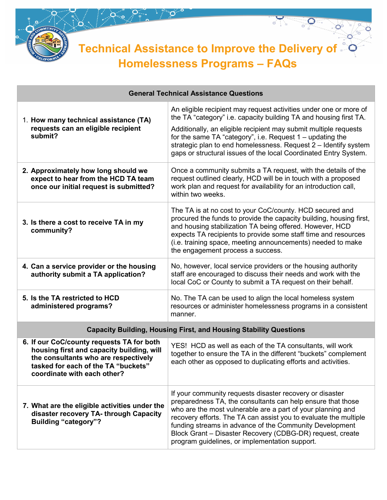

**Technical Assistance to Improve the Delivery of Homelessness Programs – FAQs**

of of

 $\mathbf{O}^{\circ}$ 

 $\bullet$ 

Ö

Ó

| <b>General Technical Assistance Questions</b>                                                                                                                                                        |                                                                                                                                                                                                                                                                                                                                                                                                                                      |
|------------------------------------------------------------------------------------------------------------------------------------------------------------------------------------------------------|--------------------------------------------------------------------------------------------------------------------------------------------------------------------------------------------------------------------------------------------------------------------------------------------------------------------------------------------------------------------------------------------------------------------------------------|
| 1. How many technical assistance (TA)<br>requests can an eligible recipient<br>submit?                                                                                                               | An eligible recipient may request activities under one or more of<br>the TA "category" i.e. capacity building TA and housing first TA.<br>Additionally, an eligible recipient may submit multiple requests<br>for the same TA "category", i.e. Request 1 - updating the<br>strategic plan to end homelessness. Request 2 - Identify system<br>gaps or structural issues of the local Coordinated Entry System.                       |
| 2. Approximately how long should we<br>expect to hear from the HCD TA team<br>once our initial request is submitted?                                                                                 | Once a community submits a TA request, with the details of the<br>request outlined clearly, HCD will be in touch with a proposed<br>work plan and request for availability for an introduction call,<br>within two weeks.                                                                                                                                                                                                            |
| 3. Is there a cost to receive TA in my<br>community?                                                                                                                                                 | The TA is at no cost to your CoC/county. HCD secured and<br>procured the funds to provide the capacity building, housing first,<br>and housing stabilization TA being offered. However, HCD<br>expects TA recipients to provide some staff time and resources<br>(i.e. training space, meeting announcements) needed to make<br>the engagement process a success.                                                                    |
| 4. Can a service provider or the housing<br>authority submit a TA application?                                                                                                                       | No, however, local service providers or the housing authority<br>staff are encouraged to discuss their needs and work with the<br>local CoC or County to submit a TA request on their behalf.                                                                                                                                                                                                                                        |
| 5. Is the TA restricted to HCD<br>administered programs?                                                                                                                                             | No. The TA can be used to align the local homeless system<br>resources or administer homelessness programs in a consistent<br>manner.                                                                                                                                                                                                                                                                                                |
| <b>Capacity Building, Housing First, and Housing Stability Questions</b>                                                                                                                             |                                                                                                                                                                                                                                                                                                                                                                                                                                      |
| 6. If our CoC/county requests TA for both<br>housing first and capacity building, will<br>the consultants who are respectively<br>tasked for each of the TA "buckets"<br>coordinate with each other? | YES! HCD as well as each of the TA consultants, will work<br>together to ensure the TA in the different "buckets" complement<br>each other as opposed to duplicating efforts and activities.                                                                                                                                                                                                                                         |
| 7. What are the eligible activities under the<br>disaster recovery TA- through Capacity<br><b>Building "category"?</b>                                                                               | If your community requests disaster recovery or disaster<br>preparedness TA, the consultants can help ensure that those<br>who are the most vulnerable are a part of your planning and<br>recovery efforts. The TA can assist you to evaluate the multiple<br>funding streams in advance of the Community Development<br>Block Grant - Disaster Recovery (CDBG-DR) request, create<br>program guidelines, or implementation support. |